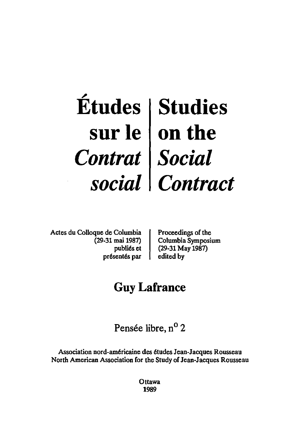## ~ **Etudes sur Ie**  *Contrat social*  **Studies on the**  *Social Contract*

Actes du Colloque de Columbia (29-31 mai 1987) publi6s et présentés par Proceedings of the Columbia Symposium (29-31 May 1987) edited by

# **Guy Lafrance**

Pensée libre, n<sup>o</sup> 2

Association nord-am6ricaine des 6tudes Jean-Jacques Rousseau North American Association for the Study of Jean-Jacques Rousseau

> **Ottawa** 1989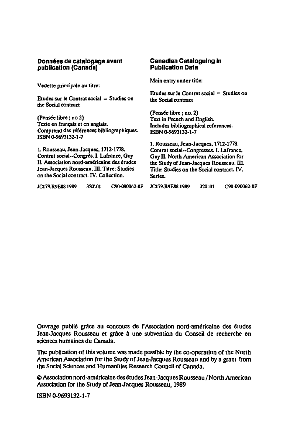#### **Donn6es de catalogage avant publication (Canada)**

Vedette principale au titre:

Etudes sur le Contrat social  $=$  Studies on the Social contract

(Pensée libre ; no 2) Texte en francais et en anglais. Comprend des références bibliographiques. ISBN 0·9693132·1-7

1. Rousseau, Jean·Jacques, 1712·1 *m.*  Contrat social--Congrès. I. Lafrance, Guy II. Association nord-américaine des études Jean.Jacques Rousseau. III. Titre: Studies on the Social contract. IV. Collection.

#### **Canadian Cataloguing In Publication Data**

Main entry under title:

Etudes sur le Contrat social  $=$  Studies on the Social contract

(Pensée libre ; no. 2) Text in French and English. Includes bibliographical references. ISBN 0-9693132·1·7

1. Rousseau, Jean-Jacques, 1712-1778. Contrat social-Congresses. I. Lafrance, Guy II. North American Association for the Study or Jean·Jacques Rousseau. III. Title: Studies on the Social contract. IV. Series.

JCI79.R9E881989 320'.01 C90.a90062-8P JC179.R9E881989 320'.01 C90.a90062-8F

Ouvrage publié grâce au concours de l'Association nord-américaine des études Jean-Jacques Rousseau et grâce à une subvention du Conseil de recherche en sciences humaines du Canada.

The publication of this volume was made possible by the co-operation of the North American Association for the Study of Jean-Jacques Rousseau and by a grant from the Social Sciences and Humanities Research Council of Canada.

@ Association nord-américaine des études Jean-Jacques Rousseau / North American Association for the Study of Jean-Jacques Rousseau, 1989

ISBN 0-9693132-1·7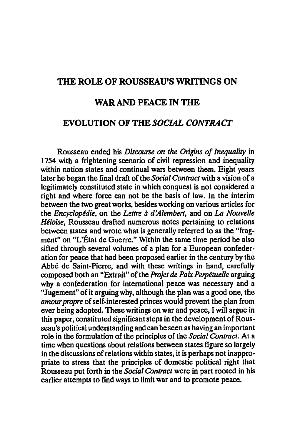## THE ROLE OF ROUSSEAU'S WRITINGS ON

### WAR AND PEACE IN THE

## EVOLUTION OF THE *SOCIAL CONTRACT*

Rousseau ended his *Discourse on the Origins of Inequality* in 1754 with a frightening scenario of civil repression and inequality within nation states and continual wars between them. Eight years later he began the final draft of the *Social Contract* with a vision of a legitimately constituted state in which conquest is not considered a right and where force can not be the basis of law. In the interim between the two great works. besides working on various articles for the *Encyclopédie*, on the *Lettre à d'Alembert*, and on *La Nouvelle Heloise.* Rousseau drafted numerous notes pertaining to relations between states and wrote what is generally referred to as the "fragment" on "L'État de Guerre." Within the same time period he also sifted through several volumes of a plan for a European confederation for peace that had been proposed earlier in the century by the Abbe de Saint-Pierre. and with these writings in hand. carefully composed both an "Extrait" of the *Projet de Paix Perpetuelle* arguing why a confederation for international peace was necessary and a "Jugement" of it arguing why. although the plan was a good one, the *amour propre* of self-interested princes would prevent the plan from ever being adopted. These writings on war and peace, I will argue in this paper. constituted significant steps in the development of Rousseau's political understanding and can be seen as having an important role in the formulation of the principles of the *Social Contract.* At a time when questions about relations between states figure so largely in the discussions of relations within states. it is perhaps not inappropriate to stress that the principles of domestic political right that Rousseau put forth in the *Social Contract* were in part rooted in his earlier attempts to find ways to limit war and to promote peace.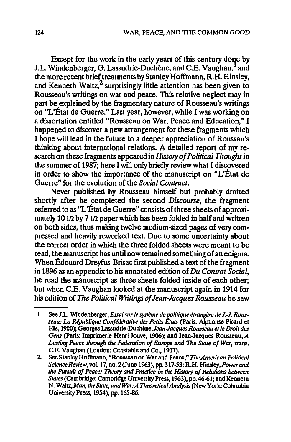Except for the work in the early years of this century done by J.L. Windenberger, G. Lassudrie-Duchène, and C.E. Vaughan,<sup>1</sup> and the more recent brief treatments by Stanley Hoffmann, R.H. Hinsley, and Kenneth Waltz, $^2$  surprisingly little attention has been given to Rousseau's writings on war and peace. This relative neglect may in part be explained by the fragmentary nature of Rousseau's writings on "L'État de Guerre." Last year, however, while I was working on a dissertation entitled "Rousseau on War, Peace and Education," I happened to discover a new arrangement for these fragments which I hope will lead in the future to a deeper appreciation of Roussau's thinking about international relations. A detailed report of my research on these fragments appeared in *History of Political Thought* in the summer of 1987; here I will only briefly review what I discovered in order to show the importance of the manuscript on "L'État de Guerre" for the evolution of the *Social Contract.* 

Never published by Rousseau himself but probably drafted shortly after he completed the second *Discourse,* the fragment referred to as "L'État de Guerre" consists of three sheets of approximately 10 1/2 by 7 1/2 paper which has been folded in half and written on both sides, thus making twelve medium-sized pages of very compressed and heavily reworked text. Due to some uncertainty about the correct order in which the three folded sheets were meant to be read, the manuscript has until now remained something of an enigma. When Edouard Dreyfus-Brisac first published a text of the fragment in 1896 as an appendix to his annotated edition of Du Contrat Social, he read the manuscript as three sheets folded inside of each other; but when C.E. Vaughan looked at the manuscript again in 1914 for his edition of *The Political Writings of Jean-Jacques Rousseau* he saw

<sup>1.</sup> See J.L. Windenberger, *Essai sur le système de politique étrangère de J.-J. Rous*seau: La *République Confédérative des Petits États* (Paris: Alphonse Picard et Fils, 1900); Georges Lassudrie-Duchène, Jean-Jacques Rousseau et le Droit des *Gens* (paris: Imprimerie Henri Jouve, 1906); and Jean-Jacques Rousseau, *A*  Lasting Peace through the Federation of Europe and The State of War, trans. C.E. Vaughan (London: Constable and Co., 1917).

<sup>2.</sup> See Stanley Hoffmann, "Rousseau on War and Peace," *TheAmerican Political Science Review,* vol. 17, no. 2 (June 1963), pp. 317.53; R.H. *Hinsley,Powerand the Pursuit of Peace: Theory and Practice in the History of Relations between States* (Cambridge: Cambridge University Press, 1963), pp. 46-61; and Kenneth N. Waltz, *Man, theState, andWar:A TheorencalAnalysis(NewYork:* Columbia University Press, 1954), pp. 165-86.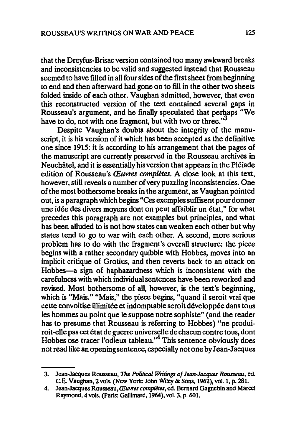that the Dreyfus-Brisac version contained too many awkward breaks and inconsistencies to be valid and suggested instead that Rousseau seemed to have filled in all four sides of the first sheet from beginning to end and then afterward had gone on to fill in the other two sheets folded inside of each other. Vaughan admitted, however, that even this reconstructed version of the text contained several gaps in Rousseau's argument, and he finally speculated that perhaps "We have to do, not with one fragment, but with two or three. $3<sup>3</sup>$ 

Despite Vaughan's doubts about the integrity of the manuscript, it is his version of it which has been accepted as the definitive one since 1915: it is according to his arrangement that the pages of the manuscript are currently preserved in the Rousseau archives in Neuchâtel, and it is essentially his version that appears in the Pléiade edition of Rousseau's *CEuvres completes.* A close look at this text, however, still reveals a number of very puzzling inconsistencies. One of the most bothersome breaks in the argument, as Vaughan pointed out, is a paragraph which begins "Ces exemples suffisent pour donner une idée des divers moyens dont on peut affaiblir un état," for what precedes this paragraph are not examples but principles, and what has been alluded to is not how states can weaken each other but why states tend to go to war with each other. A second, more serious problem has to do with the fragment's overall structure: the piece begins with a rather secondary quibble with Hobbes, moves into an implicit critique of Grotius, and then reverts back to an attack on Hobbes-a sign of haphazardness which is inconsistent with the carefulness with which individual sentences have been reworked and revised. Most bothersome of all, however, is the text's beginning, which is "Mais." "Mais," the piece begins, "quand il seroit vrai que cette convoitise illimitée et indomptable seroit développée dans tous les hommes au point que le suppose notre sophiste" (and the reader has to presume that Rousseau is referring to Hobbes) "ne produiroit-elle pas eet etat de guerre universelle de chacun contre tous, dont Hobbes ose tracer l'odieux tableau.<sup>14</sup> This sentence obviously does not read like an openingsentenee, especially not one by Jean-Jacques

<sup>3.</sup> Jean-Jacques Rousseau, The *Political Writings* 0/ *Jean-Jacques Rousseau,* ed. C.E. Vaughan, 2 vols. (New York: John Wiley & Sons, 1962), vol. 1, p.281.

<sup>4.</sup> Jean-Jacques Rousseau, *(Euvres compUtes,* ed. Bernard Gagnebin and Marcel Raymond. 4 vols. (paris: Gallimard, 1964), vol. 3, p. 601.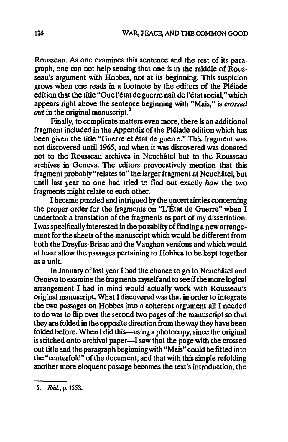Rousseau. As one examines this sentence and the rest of its paragraph, one can not help sensing that one is in the middle of Rousseau's argument with Hobbes, not at its beginning. This suspicion grows when one reads in a footnote by the editors of the Pleiade edition that the title "Que l'état de guerre naît de l'état social," which appears right above the sentence beginning with "Mais," is *crossed out* in the original manuscript.

Finally, to complicate matters even more, there is an additional fragment included in the Appendix of the Pleiade edition which has been given the title "Guerre et état de guerre." This fragment was not discovered until 1965, and when it was discovered was donated not to the Rousseau archives in Neuchâtel but to the Rousseau archives in Geneva. The editors provocatively mention that this fragment probably "relates to" the larger fragment at Neuchâtel, but until last year no one had tried to find out exactly how the two fragments might relate to each other.

I became puzzled and intrigued by the uncertainties concerning the proper order for the fragments on "L'État de Guerre" when I undertook a translation of the fragments as part of my dissertation. I was specifically interested in the possiblity of finding a new arrangement for the sheets of the manuscript which would be different from both the Dreyfus-Brisac and the Vaughan versions and which would at least allow the passages pertaining to Hobbes to be kept together as a unit.

In January of last year I had the chance to go to Neuchâtel and Geneva to examine the fragments myself and to see if the more logical arrangement I had in mind would actually work with Rousseau's original manuscript. What I discovered was that in order to integrate the two passages on Hobbes into a coherent argument all I needed to do was to flip over the second two pages of the manuscript so that they are folded in the opposite direction from the way they have been folded before. When I did this-using a photocopy, since the original is stitched onto archival paper—I saw that the page with the crossed out title and the paragraph beginning with "Mais" could be fitted into the "centerfold" of the document, and that with this simple refolding another more eloquent passage becomes the text's introduction, the

5. Ibid., p. 1553.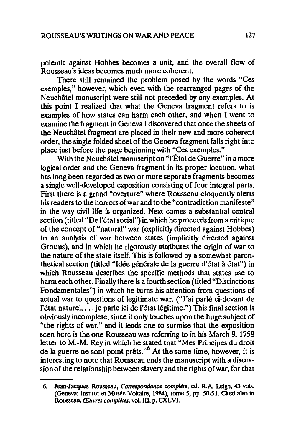polemic against Hobbes becomes a unit, and the overall flow of Rousseau's ideas becomes much more coherent.

There still remained the problem posed by the words "Ces exemples," however, which even with the rearranged pages of the Neuchatel manuscript were still not preceded by any examples. At this point I realized that what the Geneva fragment refers to is examples of how states can harm each other, and when I went to examine the fragment in Geneva I discovered that once the sheets of the Neuchatel fragment are placed in their new and more coherent order, the single folded sheet of the Geneva fragment falls right into place just before the page beginning with "Ces exemples."

With the Neuchâtel manuscript on "l'État de Guerre" in a more logical order and the Geneva fragment in its proper location, what has long been regarded as two or more separate fragments becomes a single well-developed exposition consisting of four integral parts. First there is a grand "overture" where Rousseau eloquently alerts his readers to the horrors of war and to the "contradiction manifeste" in the way civil life is organized. Next comes a substantial central section (titled "De l'état social") in which he proceeds from a critique of the concept of "natural" war (explicitly directed against Hobbes) to an analysis of war between states (implicitly directed against Grotius), and in which he rigorously attributes the origin of war to the nature of the state itself. This is followed by a somewhat parenthetical section (titled "Idée générale de la guerre d'état à état") in which Rousseau describes the specific methods that states use to harm each other. Finally there is a fourth section (titled "Distinctions Fondamentales") in which he turns his attention from questions of actual war to questions of legitimate war. ("J'ai parle ci-devant de l'état naturel, ... je parle ici de l'état légitime.") This final section is obviously incomplete, since it only touches upon the huge subject of "the rights of war," and it leads one to surmise that the exposition seen here is the one Rousseau was referring to in his March 9, 1758 letter to M.-M. Rey in which he stated that "Mes Principes du droit de la guerre ne sont point prêts."<sup>o</sup> At the same time, however, it is interesting to note that Rousseau ends the manuscript with a discussion of the relationship between slavery and the rights of war, for that

<sup>6.</sup> Jean-Jacques Rousseau, *Correspondance complète*, ed. R.A. Leigh, 43 vols. (Geneva: Institut et Musée Voltaire, 1984), tome 5, pp. 50-51. Cited also in Rousseau, *(Euvres completes,* vol. III, p. CXLVI.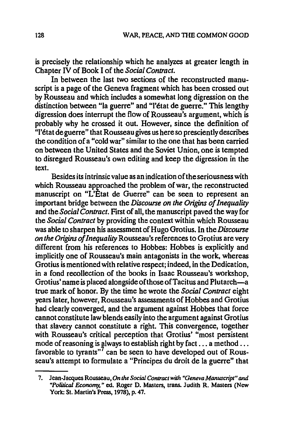is precisely the relationship which he analyzes at greater length in Chapter IV of Book I of the *Social Contract.* 

In between the last two sections of the reconstructed manuscript is a page of the Geneva fragment which has been crossed out by Rousseau and which includes a somewhat long digression on the distinction between "la guerre" and "l'état de guerre." This lengthy digression does interrupt the flow of Rousseau's argument, which is probably why he crossed it out. However, since the definition of "l'etat de guerre" that Rousseau gives us here so presciently describes the condition of a "cold war" similar to the one that has been carried on between the United States and the Soviet Union, one is tempted to disregard Rousseau's own editing and keep the digression in the text.

Besides its intrinsic value as an indication of the seriousness with which Rousseau approached the problem of war, the reconstructed manuscript on "L'Etat de Guerre" can be seen to represent an important bridge between the *Discourse on the Origins of Inequality*  and the *Social Contract.* First of all, the manuscript paved the way for the *Social Contract* by providing the context within which Rousseau was able to sharpen his assessment of Hugo Grotius. In the *Discourse on the Origins of Inequality* Rousseau's references to Grotius are very different from his references to Hobbes: Hobbes is explicitly and implicitly one of Rousseau's main antagonists in the work, whereas Grotius is mentioned with relative respect; indeed, in the Dedication, in a fond recollection of the books in Isaac Rousseau's workshop, Grotius' name is placed alongside of those of Tacitus and Plutarch-a true mark of honor. By the time he wrote the *Social Contract* eight years later, however, Rousseau's assessments of Hobbes and Grotius had clearly converged, and the argument against Hobbes that force cannot constitute law blends easily into the argument against Grotius that slavery cannot constitute a right. This convergence, together with Rousseau's critical perception that Grotius' "most persistent mode of reasoning is always to establish right by fact ... a method ... favorable to tyrants"<sup>7</sup> can be seen to have developed out of Rousseau's attempt to formulate a "Principes du droit de la guerre" that

<sup>7.</sup> Jean-Jacques Rousseau, On the Social Contract with "Geneva Manuscript" and "Political Economy," ed. Roger D. Masters, trans. Judith R. Masters (New York: St. Martin's Press, 1978), p. 47.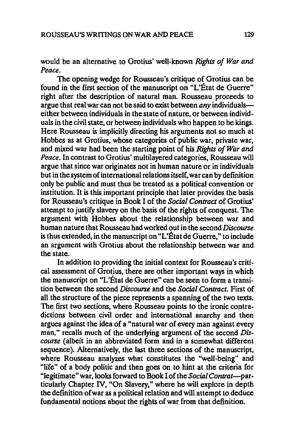would be an alternative to Grotius' well-known *Rights of War and Peace.* 

The opening wedge for Rousseau's critique of Grotius can be found in the first section of the manuscript on "L'État de Guerre" right after the description of natural man. Rousseau proceeds to argue that real war can not be said to exist between *any* individualseither between individuals in the state of nature, or between individuals in the civil state, or between individuals who happen to be kings. Here Rousseau is implicitly directing his arguments not so much at Hobbes as at Grotius, whose categories of public war, private war, and mixed war had been the starting point of his *Rights of War and Peace.* In contrast to Grotius' multilayered categories, Rousseau will argue that since war originates not in human nature or in individuals but in the system of international relations itself, war can by definition only be public and must thus be treated as a political convention or institution. It is this important principle that later provides the basis for Rousseau's critique in Book I of the *Social Contract* of Grotius' attempt to justify slavery on the basis of the rights of conquest. The argument with Hobbes about the relationship between war and human nature that Rousseau had worked out in the second *Discourse*  is thus extended, in the manuscript on "L'Etat de Guerre," to include an argument with Grotius about the relationship between war and the state.

In addition to providing the initial context for Rousseau's critical assessment of Grotius, there are other important ways in which the manuscript on "L'État de Guerre" can be seen to form a transition between the second *Discourse* and the *Social Contract.* First of all the structure of the piece represents a spanning of the two texts. The first two sections, where Rousseau points to the ironic contradictions between civil order and international anarchy and then argues against the idea of a "natural war of every man against every man," recalls much of the underlying argument of the second *Discourse* (albeit in an abbreviated form and in a somewhat different sequence). Alternatively, the last three sections of the manuscript, where Rousseau analyzes what constitutes the "well-being" and "life" of a body politic and then goes on to hint at the criteria for "legitimate" war, looks forward to Book I of the *Social Contrat-par*ticularly Chapter IV, "On Slavery," where he will explore in depth the definition of war as a political relation and will attempt to deduce fundamental notions about the rights of war from that definition.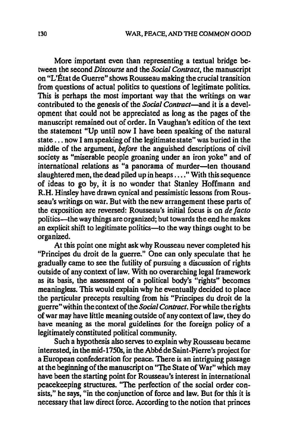More important even than representing a textual bridge be· tween the second *Discourse* and the *Social Contract,* the manuscript on "L'État de Guerre" shows Rousseau making the crucial transition from questions of actual politics to questions of legitimate politics. This is perhaps the most important way that the writings on war contributed to the genesis of the *Social Contract-and* it is a devel· opment that could not be appreciated as long as the pages of the manuscript remained out of order. In Vaughan's edition of the text the statement "Up until now I have been speaking of the natural state ... now I am speaking of the legitimate state" was buried in the middle of the argument, *before* the anguished descriptions of civil society as "miserable people groaning under an iron yoke" and of international relations as "a panorama of murder-ten thousand slaughtered men, the dead piled up in heaps .... " With this sequence of ideas to go by, it is no wonder that Stanley Hoffmann and R.H. Hinsley have drawn cynical and pessimistic lessons from Rous· seau's writings on war. But with the new arrangement these parts of the exposition are reversed: Rousseau's initial focus is on *de facto*  politics-the way things are organized; but towards the end he makes an explicit shift to legitimate politics—to the way things ought to be organized.

At this point one might ask why Rousseau never completed his "Principes du droit de la guerre." One can only speculate that he gradually came to see the futility of pursuing a discussion of rights outside of any context of law. With no overarching legal framework as its basis, the assessment of a political body's "rights" becomes meaningless. This would explain why he eventually decided to place tbe particular precepts resulting from his "Principes du droit de la guerre" within the context of the *Social Contract.* For while the rights of war may have little meaning outside of any context of law, they do have meaning as the moral guidelines for the foreign policy of a legitimately constituted political community.

Such a hypothesis also serves to explain why Rousseau became interested, in the mid-1750s, in the Abbe de Saint-Pierre's project for a European confederation for peace. There is an intriguing passage at the beginning of the manuscript on "The State of War" which may have been the starting point for Rousseau's interest in international peacekeeping structures. "The perfection of the social order consists," he says, "in the conjunction of force and law. But for this it is necessary that law direct force. According to the notion that princes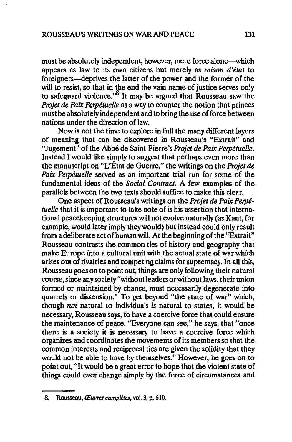must be absolutely independent, however, mere force alone-which appears as law to its own citizens but merely as *raison d'etat* to foreigners-deprives the latter of the power and the former of the will to resist, so that in the end the vain name of justice serves only to safeguard violence.<sup>8</sup> It may be argued that Rousseau saw the *Projet de Paix Perpetuelle* as a way to counter the notion that princes must be absolutely independent and to bring the use of force between nations under the direction of law.

Now is not the *time* to explore in full the many different layers of meaning that can be discovered in Rousseau's "Extrait" and "Jugement" of the Abbe de Saint-Pierre's *Projet de Paix Perpetuelle.*  Instead I would like simply to suggest that perhaps even more than the manuscript on "L'Etat *de* Guerre," the writings on the *Projet de Paix Perpetuelle* served as an important trial run for *some* of the fundamental ideas of the *Social Contract.* A few examples of the parallels between the two texts should suffice to make this clear.

One aspect of Rousseau's writings on the *Projet de Paix Perpetuelle* that it is important to *take* note of is his assertion that international peacekeeping structures will not evolve naturally (as Kant, for example, would later imply they would) but instead could only result from a deliberate act of human will. At the beginning of the "Extrait" Rousseau contrasts the common ties of history and geography that make Europe into a cultural unit with the actual state of war which arises out of rivalries and competing claims for supremacy. In all this, Rousseau goes on to point out, things are only following their natural course, since any society "without leaders or without laws, their union formed or maintained by chance, must necessarily degenerate into quarrels or dissension." To get beyond "the state of war" which, though *not* natural to individuals *is* natural to states, it would be necessary, Rousseau says, to have a coercive force that could ensure the maintenance of peace. "Everyone can *see:'* he says, that "once there is a society it is necessary to have a coercive force which organizes and coordinates the movements of its members so that the common interests and reciprocal ties are given the solidity that they would not be able to have by themselves." However, he goes on to point out, "It would be a great error to hope that the violent state of things could ever change simply by the force of circumstances and

<sup>8.</sup> Rousseau, Œuvres complètes, vol. 3, p. 610.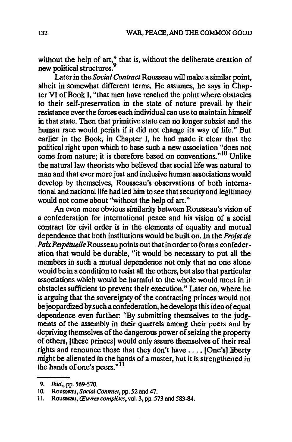without the help of art," that is, without the deliberate creation of new political structures.<sup>9</sup>

Later in the *Social Contract* Rousseau will make a similar point, albeit in somewhat different terms. He assumes, he says in Chapter VI of Book I, "that men have reached the point where obstacles to their self-preservation in the state of nature prevail by their resistance over the forces each individual can use to maintain himself in that state. Then that primitive state can no longer subsist and the human race would perish if it did not change its way of life." But earlier in the Book, in Chapter I, he had made it clear that the political right upon which to base such a new association "does not come from nature; it is therefore based on conventions."<sup>10</sup> Unlike the natural law theorists who believed that social life was natural to man and that ever more just and inclusive human associations would develop by themselves, Rousseau's observations of both international and national life had led him to see that security and legitimacy would not come about "without the help of art."

An even more obvious similarity between Rousseau's vision of a confederation for international peace and his vision of a social contract for civil order is in the elements of equality and mutual dependence that both institutions would be built on. In the *Projet de PaixPerpetuelle* Rousseau points out that in order to form a confederation that would be durable, "it would be necessary to put all the members in such a mutual dependence not only that no one alone would be in a condition to resist all the others, but also that particular associations which would be harmful to the whole would meet in it obstacles sufficient to prevent their execution." Later on, where he is arguing that the sovereignty of the contracting princes would not be jeopardized by such a confederation, he develops this idea of equal dependence even further: "By submitting themselves to the judgments of the assembly in their quarrels among their peers and by depriving themselves of the dangerous power of seizing the property of others, [these princes] would only assure themselves of their real rights and renounce those that they don't have .... [One's] liberty might be alienated in the hands of a master, but it is strengthened in the hands of one's peers." $11$ 

<sup>9.</sup> Ibid., pp. 569-570.

<sup>10.</sup> Rousseau, *Social Contract,* pp. 52 and 47.

<sup>11.</sup> Rousseau, *(Euvres completes,* vol. 3, pp. 573 and 583-84.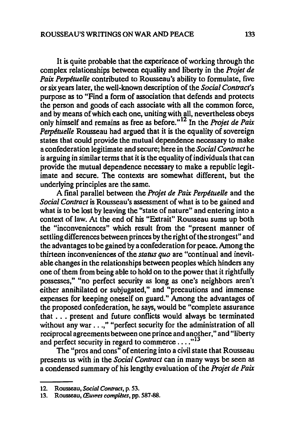It is quite probable that the experience of working through the complex relationships between equality and liberty in the *Projet de Paix Perpetuelle* contributed to Rousseau's ability to formulate, five or six years later, the well-known description of the *Social Contract's*  purpose as to "Find a form of association that defends and protects the person and goods of each associate with all the common force, and by means of which each one, uniting with all, nevertheless obeys only himself and remains as free as before."<sup>12</sup> In the *Projet de Paix Perpetuelle* Rousseau had argued that it is the equality of sovereign states that could provide the mutual dependence necessary to make a confederation legitimate and secure; here in the *Social Contract* he is arguing in similar terms that it is the equality of individuals that can provide the mutual dependence necessary to make a republic legitimate and secure. The contexts are somewhat different, but the underlying principles are the same.

A final parallel between the *Projet de Paix Perpetuelle* and the *Social Contract* is Rousseau's assessment of what is to be gained and what is to be lost by leaving the "state of nature" and entering into a context of law. At the end of his "Extrait" Rousseau sums up both the "inconveniences" which result from the "present manner of settling differences between princes by the right of the strongest" and the advantages to be gained by a confederation for peace. Among the thirteen inconveniences of the *status quo* are "continual and inevitable changes in the relationships between peoples which hinders any one of them from being able to hold on to the power that it rightfully possesses," "no perfect security as long as one's neighbors aren't either annihilated or subjugated," and "precautions and immense expenses for keeping oneself on guard." Among the advantages of the proposed confederation, he says, would be "complete assurance that . . . present and future conflicts would always be terminated without any war . . .," "perfect security for the administration of all reciprocal agreements between one prince and another," and "liberty and perfect security in regard to commerce  $\dots$ <sup>13</sup>

The "pros and cons" of entering into a civil state that Rousseau presents us with in the *Social Contract* can in many ways be seen as a condensed summary of his lengthy evaluation of the *Projet de Paix* 

<sup>12.</sup> Rousseau, *Social Contract*, p. 53.

<sup>13.</sup> Rousseau, Œuvres complètes, pp. 587-88.